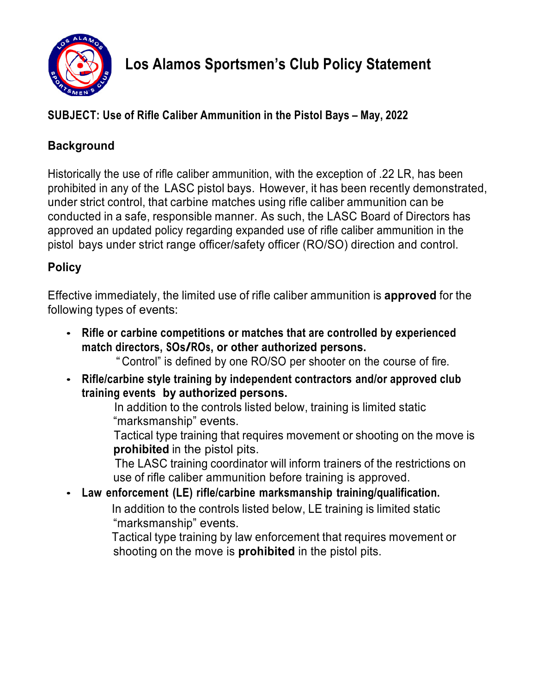

## **SUBJECT: Use of Rifle Caliber Ammunition in the Pistol Bays – May, 2022**

## **Background**

Historically the use of rifle caliber ammunition, with the exception of .22 LR, has been prohibited in any of the LASC pistol bays. However, it has been recently demonstrated, under strict control, that carbine matches using rifle caliber ammunition can be conducted in a safe, responsible manner. As such, the LASC Board of Directors has approved an updated policy regarding expanded use of rifle caliber ammunition in the pistol bays under strict range officer/safety officer (RO/SO) direction and control.

## **Policy**

Effective immediately, the limited use of rifle caliber ammunition is **approved** for the following types of events:

• **Rifle or carbine competitions or matches that are controlled by experienced match directors, SOs/ROs, or other authorized persons.**

" Control" is defined by one RO/SO per shooter on the course of fire.

• **Rifle/carbine style training by independent contractors and/or approved club training events by authorized persons.**

 In addition to the controls listed below, training is limited static "marksmanship" events.

 Tactical type training that requires movement or shooting on the move is **prohibited** in the pistol pits.

 The LASC training coordinator will inform trainers of the restrictions on use of rifle caliber ammunition before training is approved.

• **Law enforcement (LE) rifle/carbine marksmanship training/qualification.** In addition to the controls listed below, LE training is limited static "marksmanship" events.

> Tactical type training by law enforcement that requires movement or shooting on the move is **prohibited** in the pistol pits.